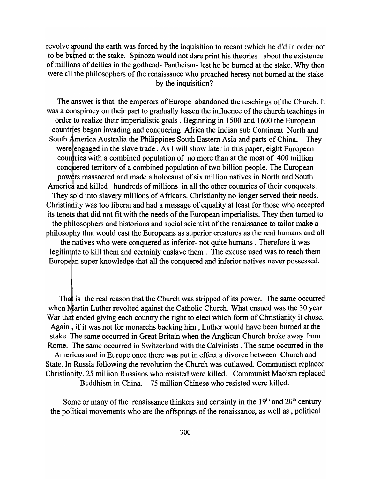revolve around the earth was forced by the inquisition to recant ;which he did in order not to be burned at the stake. Spinoza would not dare print his theories about the existence of millions of deities in the godhead- Pantheism- lest he be burned at the stake. Why then were all the philosophers of the renaissance who preached heresy not burned at the stake by the inquisition?

The answer is that the emperors of Europe abandoned the teachings of the Church. It was a conspiracy on their part to gradually lessen the influence of the church teachings in<br>
order to realize their imperialistic goals. Beginning in 1500 and 1600 the European<br>
countries began invading and conquering Afri order to realize their imperialistic goals. Beginning in 1500 and 1600 the European countries began invading and conquering Africa the Indian sub Continent North and South America Australia the Philippines South Eastern Asia and parts of China. They were engaged in the slave trade. As I will show later in this paper, eight European countries with a combined population of no more than at the most of 400 million conquered territory of a combined population of two billion people. The European powers massacred and made a holocaust of six million natives in North and South America and killed hundreds of millions in all the other countries of their conquests. They sold into slavery millions of Africans. Christianity no longer served their needs. Christiantly was too liberal and had a message of equality at least for those who accepted its tenets that did not fit with the needs of the European imperialists. They then turned to the philosophers and historians and social scientist of the renaissance to tailor make a philosophy that would cast the Europeans as superior creatures as the real humans and all the hatives who were conquered as inferior- not quite humans. Therefore it was legitimate to kill them and certainly enslave them. The excuse used was to teach them European super knowledge that all the conquered and inferior natives never possessed.

That is the real reason that the Church was stripped of its power. The same occurred when Martin Luther revolted against the Catholic Church. What ensued was the 30 year War that ended giving each country the right to elect which form of Christianity it chose. Again, if it was not for monarchs backing him, Luther would have been burned at the stake. The same occurred in Great Britain when the Anglican Church broke away from Rome. The same occurred in Switzerland with the Calvinists . The same occurred in the Americas and in Europe once there was put in effect a divorce between Church and State. In Russia following the revolution the Church was outlawed. Communism replaced

Christianity. 25 million Russians who resisted were killed. Communist Maoism replaced . Buddhism in China. 75 million Chinese who resisted were killed.

Some or many of the renaissance thinkers and certainly in the  $19<sup>th</sup>$  and  $20<sup>th</sup>$  century the political movements who are the offsprings of the renaissance, as well as, political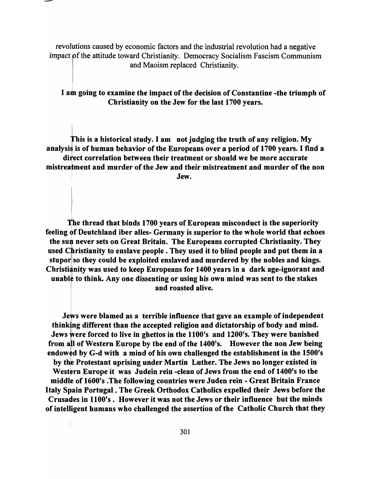revolutions caused by economic factors and the industrial revolution had a negative impact of the attitude toward Christianity. Democracy Socialism Fascism Communism and Maoism replaced Christianity.

I am going to examine the impact of the decision of Constantine -the triumph of Christianity on the Jew for the last 1700 years.

his is a historical study. I am not judging the truth of any religion. My analysis is of human behavior of the Europeans over a period of 1700 years. I find a direct correlation between their treatment or should we be more accurate mistreatment and murder of the Jew and their mistreatment and murder of the non **IVELET A** SERVE THE SERVE THAT IS NOT THE SERVE THAT IS NOT THE SERVE THAT IS NOT THE SERVE THAT IS NO THE SERVE

he thread that binds 1700 years of European misconduct is the superiority feeling of Deutchland iber alles- Germany is superior to the whole world that echoes the sun never sets on Great Britain. The Europeans corrupted Christianity. They used Christianity to enslave people. They used it to blind people and put them in a stupor so they could be exploited enslaved and murdered by the nobles and kings. Christianity was used to keep Europeans for 1400 years in a dark age-ignorant and unable to think. Any one dissenting or using his own mind was sent to the stakes and roasted alive.

Jews were blamed as a terrible influence that gave an example of independent thinking different than the accepted religion and dictatorship of body and mind. Jews were forced to live in ghettos in the 1100's and 1200's. They were banished from all of Western Europe by the end of the 1400's. However the non Jew being endowed by G-d with a mind of his own challenged the establishment in the 1500's by the Protestant uprising under Martin Luther. The Jews no longer existed in Western Europe it was Judein rein -clean of Jews from the end of 1400's to the middle of 1600's .The following countries were Juden rein - Great Britain France Italy Spain Portugal. The Greek Orthodox Catholics expelled their Jews before the Crusades in 1100's. However it was not the Jews or their influence but the minds of intelligent humans who challenged the assertion of the Catholic Church that they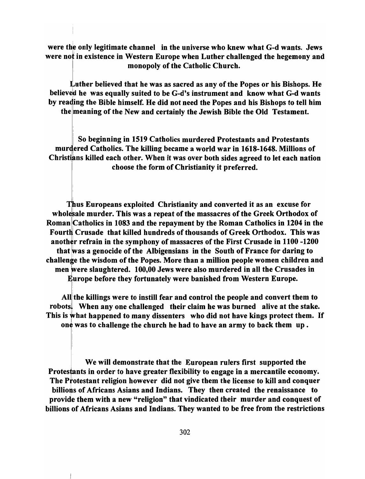were the only legitimate channel in the universe who knew what G-d wants. Jews were not in existence in Western Europe when Luther challenged the hegemony and monopoly of the Catholic Church.

Luther believed that he was as sacred as any of the Popes or his Bishops. He believed he was equally suited to be G-d's instrument and know what G-d wants by reading the Bible himself. He did not need the Popes and his Bishops to tell him the meaning of the New and certainly the Jewish Bible the Old Testament.

So beginning in 1519 Catholics murdered Protestants and Protestants murdered Catholics. The killing became a world war in 1618-1648. Millions of Christians killed each other. When it was over both sides agreed to let each nation choose the form of Christianity it preferred.

hus Europeans exploited Christianity and converted it as an excuse for wholesale murder. This was a repeat of the massacres of the Greek Orthodox of Roman Catholics in 1083 and the repayment by the Roman Catholics in 1204 in the Fourth Crusade that killed hundreds of thousands of Greek Orthodox. This was another refrain in the symphony of massacres of the First Crusade in 1100 -1200 that was a genocide of the Albigensians in the South of France for daring to challenge the wisdom of the Popes. More than a million people women children and men were slaughtered. 100,00 Jews were also murdered in all the Crusades in urope before they fortunately were banished from Western Europe.

All the killings were to instill fear and control the people and convert them to robots. When any one challenged their claim he was burned alive at the stake. This is What happened to many dissenters who did not have kings protect them. If one was to challenge the church he had to have an army to back them up.

We will demonstrate that the European rulers first supported the Protestants in order to have greater flexibility to engage in a mercantile economy. The Protestant religion however did not give them the license to kill and conquer billions of Africans Asians and Indians. They then created the renaissance to provide them with a new "religion" that vindicated their murder and conquest of billions of Africans Asians and Indians. They wanted to be free from the restrictions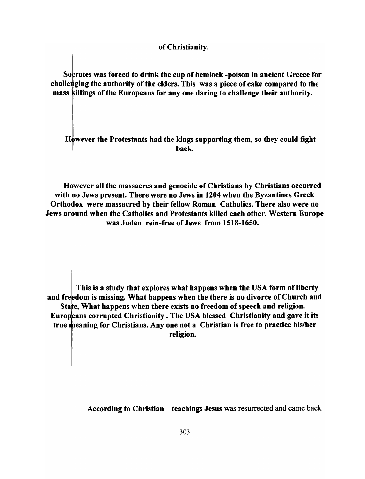### of Christianity.

Socrates was forced to drink the cup of hemlock -poison in ancient Greece for challenging the authority of the elders. This was a piece of cake compared to the mass killings of the Europeans for any one daring to challenge their authority.

However the Protestants had the kings supporting them, so they could fight hack.

However all the massacres and genocide of Christians by Christians occurred with no Jews present. There were no Jews in 1204 when the Byzantines Greek Orthodox were massacred by their fellow Roman Catholics. There also were no Jews around when the Catholics and Protestants killed each other. Western Europe was Juden rein-free of Jews from 1518-1650.

This is a study that explores what happens when the USA form of liberty and freedom is missing. What happens when the there is no divorce of Church and State, What happens when there exists no freedom of speech and religion. Europeans corrupted Christianity. The USA blessed Christianity and gave it its true meaning for Christians. Any one not a Christian is free to practice his/her religion.

i

According to Christian teachings Jesus was resurrected and came back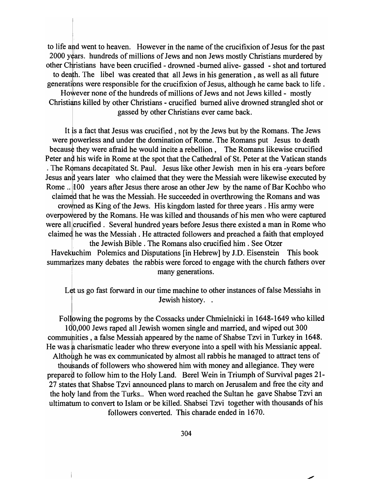to life aid went to heaven. However in the name of the crucifixion of Jesus for the past 2000 years. hundreds of millions of Jews and non Jews mostly Christians murdered by other Christians have been crucified - drowned -burned alive- gassed - shot and tortured to death. The libel was created that all Jews in his generation, as well as all future generations were responsible for the crucifixion of Jesus, although he came back to life. However none of the hundreds of millions of Jews and not Jews killed - mostly Christians killed by other Christians - crucified burned alive drowned strangled shot or gassed by other Christians ever came back.

It is a fact that Jesus was crucified, not by the Jews but by the Romans. The Jews were powerless and under the domination of Rome. The Romans put Jesus to death because they were afraid he would incite a rebellion, The Romans likewise crucified Peter and his wife in Rome at the spot that the Cathedral of St. Peter at the Vatican stands . The Romans decapitated St. Paul. Jesus like other Jewish men in his era -years before Jesus and years later who claimed that they were the Messiah were likewise executed by Rome ... 100 years after Jesus there arose an other Jew by the name of Bar Kochbo who claimed that he was the Messiah. He succeeded in overthrowing the Romans and was crowned as King of the Jews. His kingdom lasted for three years. His army were

overpowered by the Romans. He was killed and thousands of his men who were captured were all crucified. Several hundred years before Jesus there existed a man in Rome who claimed he was the Messiah. He attracted followers and preached a faith that employed

<sup>I</sup>the Jewish Bible. The Romans also crucified him. See Otzer Havekuchim Polemics and Disputations [in Hebrew] by J.D. Eisenstein This book summarizes many debates the rabbis were forced to engage with the church fathers over many generations.

Let us go fast forward in our time machine to other instances of false Messiahs in Jewish history. .

Following the pogroms by the Cossacks under Chmielnicki in 1648-1649 who killed 100,000 Jews raped all Jewish women single and married, and wiped out 300 communities, a false Messiah appeared by the name of Shabse Tzvi in Turkey in 1648. He was a charismatic leader who threw everyone into a spell with his Messianic appeal. Although he was ex communicated by almost all rabbis he managed to attract tens of

thousands of followers who showered him with money and allegiance. They were prepared to follow him to the Holy Land. Berel Wein in Triumph of Survival pages 21-27 states that Shabse Tzvi announced plans to march on Jerusalem and free the city and the holy land from the Turks.. When word reached the Sultan he gave Shabse Tzvi an ultimatum to convert to Islam or be killed. Shabsei Tzvi together with thousands of his followers converted. This charade ended in 1670.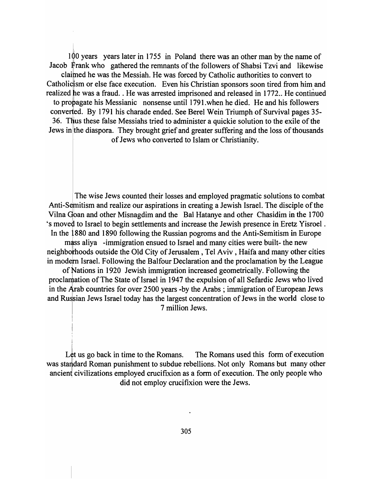$100$  years years later in 1755 in Poland there was an other man by the name of Jacob Frank who gathered the remnants of the followers of Shabsi Tzvi and likewise claimed he was the Messiah. He was forced by Catholic authorities to convert to Catholicism or else face execution. Even his Christian sponsors soon tired from him and realized he was a fraud. . He was arrested imprisoned and released in 1772.. He continued to propagate his Messianic nonsense until 1791, when he died. He and his followers converted. By 1791 his charade ended. See Berel Wein Triumph of Survival pages 35-36. Thus these false Messiahs tried to administer a quickie solution to the exile of the Jews in the diaspora. They brought grief and greater suffering and the loss of thousands of Jews who converted to Islam or Christianity.

The wise Jews counted their losses and employed pragmatic solutions to combat Anti-Semitism and realize our aspirations in creating a Jewish Israel. The disciple of the Vilna Goan and other Misnagdim and the Bal Hatanye and other Chasidim in the 1700 's moved to Israel to begin settlements and increase the Jewish presence in Eretz Yisroel . In the i 880 and 1890 following the Russian pogroms and the Anti-Semitism in Europe mass aliya -immigration ensued to Israel and many cities were built- the new neighborhoods outside the Old City of Jerusalem, Tel Aviv, Haifa and many other cities in modern Israel. Following the Balfour Declaration and the proclamation by the League of Nations in 1920 Jewish immigration increased geometrically. Following the proclamation of The State of Israel in 1947 the expulsion of all Sefardic Jews who lived in the Arab countries for over 2500 years -by the Arabs; immigration of European Jews

and Russian Jews Israel today has the largest concentration of Jews in the world close to I 7 million Jews.

Let us go back in time to the Romans. The Romans used this form of execution was standard Roman punishment to subdue rebellions. Not only Romans but many other ancient civilizations employed crucifixion as a form of execution. The only people who did not employ crucifixion were the Jews.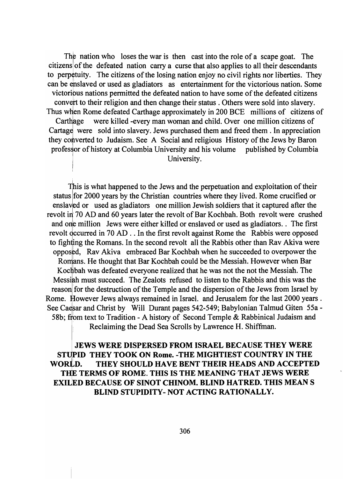The nation who loses the war is then cast into the role of a scape goat. The citizens of the defeated nation carry a curse that also applies to all their descendants to perpetuity. The citizens of the losing nation enjoy no civil rights nor liberties. They can be enslaved or used as gladiators as entertainment for the victorious nation. Some victoribus nations permitted the defeated nation to have some of the defeated citizens convert to their religion and then change their status. Others were sold into slavery. Thus when Rome defeated Carthage approximately in 200 BCE millions of citizens of Carthage were killed -every man woman and child. Over one million citizens of Cartage were sold into slavery. Jews purchased them and freed them. In appreciation they converted to Judaism. See A Social and religious History of the Jews by Baron professor of history at Columbia University and his volume published by Columbia<br>University.

This is what happened to the Jews and the perpetuation and exploitation of their status for 2000 years by the Christian countries where they lived. Rome crucified or enslaved or used as gladiators one million Jewish soldiers that it captured after the revolt in 70 AD and 60 years later the revolt of Bar Kochbah. Both revolt were crushed and one million Jews were either killed or enslaved or used as gladiators. The first revolt occurred in 70 AD . . In the first revolt against Rome the Rabbis were opposed to fighting the Romans. In the second revolt all the Rabbis other than Rav Akiva were opposed, Rav Akiva embraced Bar Kochbah when he succeeded to overpower the Romans. He thought that Bar Kochbah could be the Messiah. However when Bar Kochbah was defeated everyone realized that he was not the not the Messiah. The Messiah must succeed. The Zealots refused to listen to the Rabbis and this was the reason for the destruction of the Temple and the dispersion of the Jews from Israel by Rome. However Jews always remained in Israel. and Jerusalem for the last 2000 years. See Caesar and Christ by Will Durant pages 542-549; Babylonian Talmud Giten 55a -58b; from text to Tradition - A history of Second Temple & Rabbinical Judaism and Reclaiming the Dead Sea Scrolls by Lawrence H. Shiffman.

JEWS WERE DISPERSED FROM ISRAEL BECAUSE THEY WERE STUPID THEY TOOK ON Rome. -THE MIGHTIEST COUNTRY IN THE WORLD. THEY SHOULD HAVE BENT THEIR HEADS AND ACCEPTED THE TERMS OF ROME. THIS IS THE MEANING·THAT JEWS WERE EXIUED BECAUSE OF SINOT CHINOM. BLIND HATRED. THIS MEAN S BLIND STUPIDITY- NOT ACTING RATIONALLY.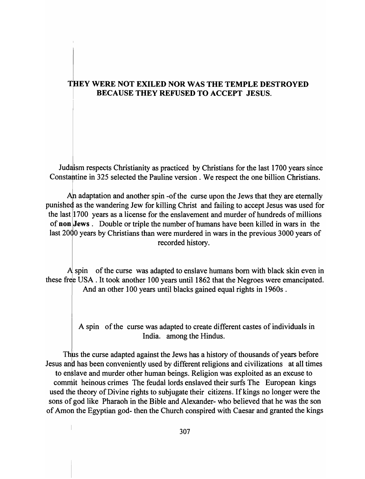## THEY WERE NOT EXILED NOR WAS THE TEMPLE DESTROYED BECAUSE THEY REFUSED TO ACCEPT JESUS.

Judaism respects Christianity as practiced by Christians for the last 1700 years since Constantine in 325 selected the Pauline version. We respect the one billion Christians.

An adaptation and another spin -of the curse upon the Jews that they are eternally punished as the wandering Jew for killing Christ and failing to accept Jesus was used for the last 1700 years as a license for the enslavement and murder of hundreds of millions of non Jews. Double or triple the number of humans have been killed in wars in the last 2000 years by Christians than were murdered in wars in the previous 3000 years of recorded history.

 $\mathbf A$  spin of the curse was adapted to enslave humans born with black skin even in these free USA. It took another 100 years until 1862 that the Negroes were emancipated. And an other 100 years until blacks gained equal rights in 1960s .

> A spin of the curse was adapted to create different castes of individuals in India. among the Hindus.

Thus the curse adapted against the Jews has a history of thousands of years before Jesus and has been conveniently used by different religions and civilizations at all times to enslave and murder other human beings. Religion was exploited as an excuse to commit heinous crimes The feudal lords enslaved their surfs The European kings used the theory of Divine rights to subjugate their citizens. If kings no longer were the sons of god like Pharaoh in the Bible and Alexander- who believed that he was the son of Amon the Egyptian god- then the Church conspired with Caesar and granted the kings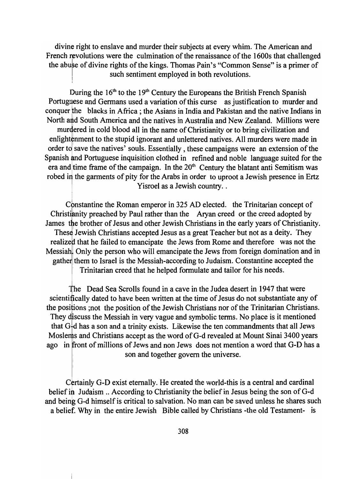divine right to enslave and murder their subjects at every whim. The American and French revolutions were the culmination of the renaissance of the 1600s that challenged the abuse of divine rights of the kings. Thomas Pain's "Common Sense" is a primer of such sentiment employed in both revolutions.

During the  $16<sup>th</sup>$  to the  $19<sup>th</sup>$  Century the Europeans the British French Spanish Portuguese and Germans used a variation of this curse as justification to murder and conquer the blacks in Africa; the Asians in India and Pakistan and the native Indians in North and South America and the natives in Australia and New Zealand. Millions were murdered in cold blood all in the name of Christianity or to bring civilization and enlightenment to the stupid ignorant and unlettered natives. All murders were made in order to save the natives' souls. Essentially, these campaigns were an extension of the Spanish and Portuguese inquisition clothed in refined and noble language suited for the era and time frame of the campaign. In the 20<sup>th</sup> Century the blatant anti Semitism was robed in the garments of pity for the Arabs in order to uproot a Jewish presence in Ertz Yisroel as a Jewish country..

Constantine the Roman emperor in 325 AD elected. the Trinitarian concept of Christianity preached by Paul rather than the Aryan creed or the creed adopted by James the brother of Jesus and other Jewish Christians in the early years of Christianity. These Jewish Christians accepted Jesus as a great Teacher but not as a deity. They realized that he failed to emancipate the Jews from Rome and therefore was not the Messiah. Only the person who will emancipate the Jews from foreign domination and in gather them to Israel is the Messiah-according to Judaism. Constantine accepted the <sup>I</sup>Trinitarian creed that he helped formulate and tailor for his needs.

The Dead Sea Scrolls found in a cave in the Judea desert in 1947 that were scientifically dated to have been written at the time of Jesus do not substantiate any of the positions ;not the position of the Jewish Christians nor of the Trinitarian Christians. They discuss the Messiah in very vague and symbolic terms. No place is it mentioned that  $G<sup>1</sup>d$  has a son and a trinity exists. Likewise the ten commandments that all Jews Moslems and Christians accept as the word of G-d revealed at Mount Sinai 3400 years ago in front of millions of Jews and non Jews does not mention a word that G-D has a son and together govern the universe.

Certainly G-D exist eternally. He created the world-this is a central and cardinal belief *ib* Judaism .. According to Christianity the belief in Jesus being the son of G-d and being G-d himself is critical to salvation. No man can be saved unless he shares such a belief. Why in the entire Jewish Bible called by Christians -the old Testament- is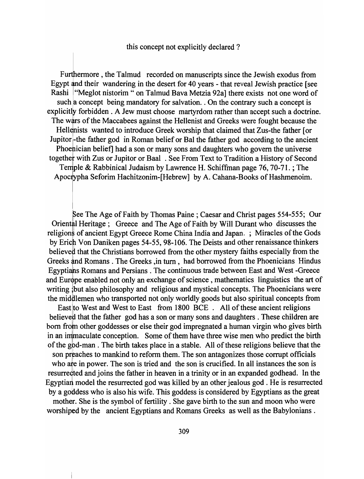#### this concept not explicitly declared?

Furthermore, the Talmud recorded on manuscripts since the Jewish exodus from Egypt and their wandering in the desert for 40 years - that reveal Jewish practice [see Rashi | "Meglot nistorim " on Talmud Bava Metzia 92a] there exists not one word of such a concept being mandatory for salvation. On the contrary such a concept is explicitly forbidden. A Jew must choose martyrdom rather than accept such a doctrine. The wars of the Maccabees against the Hellenist and Greeks were fought because the Hellenists wanted to introduce Greek worship that claimed that Zus-the father [or Jupitor-the father god in Roman belief or Bal the father god according to the ancient Phoehician belief] had a son or many sons and daughters who govern the universe together with Zus or Jupitor or Baal. See From Text to Tradition a History of Second Temple & Rabbinical Judaism by Lawrence H. Schiffman page  $76, 70-71$ .; The Apocrypha Seforim Hachitzonim-[Hebrew] by A. Cahana-Books of Hashmenoim.

See The Age of Faith by Thomas Paine; Caesar and Christ pages 554-555; Our Oriental Heritage; Greece and The Age of Faith by Will Durant who discusses the religions of ancient Egypt Greece Rome China India and Japan. ; Miracles of the Gods by Erich Von Daniken pages 54-55, 98-106. The Deists and other renaissance thinkers believed that the Christians borrowed from the other mystery faiths especially from the Greeks and Romans. The Greeks, in turn, had borrowed from the Phoenicians Hindus Egyptians Romans and Persians. The continuous trade between East and West -Greece and Europe enabled not only an exchange of science, mathematics linguistics the art of writing thut also philosophy and religious and mystical concepts. The Phoenicians were the middlemen who transported not only worldly goods but also spiritual concepts from

East to West and West to East from 1800 BCE. All of these ancient religions believed that the father god has a son or many sons and daughters. These children are born from other goddesses or else their god impregnated a human virgin who gives birth in an immaculate conception. Some of them have three wise men who predict the birth of the god-man. The birth takes place in a stable. All of these religions believe that the son preaches to mankind to reform them. The son antagonizes those corrupt officials who are in power. The son is tried and the son is crucified. In all instances the son is resurredted and joins the father in heaven in a trinity or in an expanded godhead. In the Egyptian model the resurrected god was killed by an other jealous god. He is resurrected by a goddess who is also his wife. This goddess is considered by Egyptians as the great mother. She is the symbol of fertility. She gave birth to the sun and moon who were worshiped by the ancient Egyptians and Romans Greeks as well as the Babylonians.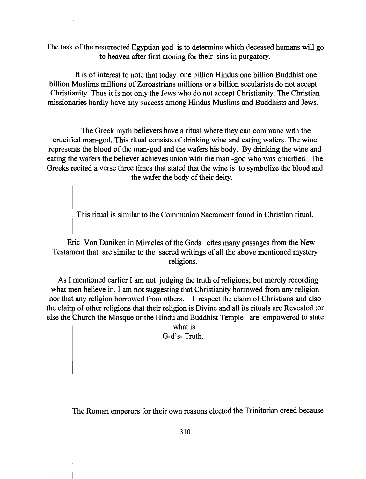The task of the resurrected Egyptian god is to determine which deceased humans will go to heaven after first atoning for their sins in purgatory.

It is of interest to note that today one billion Hindus one billion Buddhist one billion Muslims millions of Zoroastrians millions or a billion secularists do not accept Christianity. Thus it is not only the Jews who do not accept Christianity. The Christian missionaries hardly have any success among Hindus Muslims and Buddhists and Jews.

The Greek myth believers have a ritual where they can commune with the crucified man-god. This ritual consists of drinking wine and eating wafers. The wine represents the blood of the man-god and the wafers his body. By drinking the wine and eating the wafers the believer achieves union with the man -god who was crucified. The Greeks recited a verse three times that stated that the wine is to symbolize the blood and the wafer the body of their deity.

This ritual is similar to the Communion Sacrament found in Christian ritual.

Eric Von Daniken in Miracles of the Gods cites many passages from the New Testament that are similar to the sacred writings of all the above mentioned mystery religions.

As I mentioned earlier I am not judging the truth of religions; but merely recording what men believe in. I am not suggesting that Christianity borrowed from any religion nor that any religion borrowed from others. I respect the claim of Christians and also the claim of other religions that their religion is Divine and all its rituals are Revealed ; or else the Church the Mosque or the Hindu and Buddhist Temple are empowered to state

> what is G-d's- Truth.

The Roman emperors for their own reasons elected the Trinitarian creed because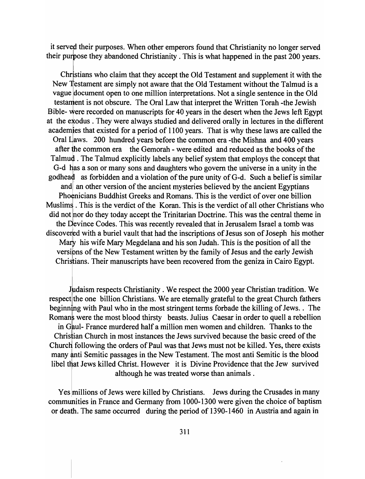it served their purposes. When other emperors found that Christianity no longer served their purpose they abandoned Christianity . This is what happened in the past 200 years.

Christians who claim that they accept the Old Testament and supplement it with the New Testament are simply not aware that the Old Testament without the Talmud is a vague document open to one million interpretations. Not a single sentence in the Old testament is not obscure. The Oral Law that interpret the Written Torah -the Jewish Bible- were recorded on manuscripts for 40 years in the desert when the Jews left Egypt at the exodus. They were always studied and delivered orally in lectures in the different academies that existed for a period of 1100 years. That is why these laws are called the Oral Laws. 200 hundred years before the common era -the Mishna and 400 years after the common era the Gemorah - were edited and reduced as the books of the Talmud. The Talmud explicitly labels any belief system that employs the concept that G-d has a son or many sons and daughters who govern the universe in a unity in the godhead as forbidden and a violation of the pure unity of  $G-d$ . Such a belief is similar and an other version of the ancient mysteries believed by the ancient Egyptians Phoenicians Buddhist Greeks and Romans. This is the verdict of over one billion Muslims . This is the verdict of the Koran. This is the verdict of all other Christians who did not hor do they today accept the Trinitarian Doctrine. This was the central theme in the Devince Codes. This was recently revealed that in Jerusalem Israel a tomb was discovered with a buriel vault that had the inscriptions of Jesus son of Joseph his mother Mary his wife Mary Megdelana and his son Judah. This is the position of all the versions of the New Testament written by the family of Jesus and the early Jewish Christians. Their manuscripts have been recovered from the geniza in Cairo Egypt.

Judaism respects Christianity . We respect the 2000 year Christian tradition. We respect the one billion Christians. We are eternally grateful to the great Church fathers beginning with Paul who in the most stringent terms forbade the killing of Jews.. The Roman's were the most blood thirsty beasts. Julius Caesar in order to quell a rebellion in Gaul- France murdered half a million men women and children. Thanks to the Chrishan Church in most instances the Jews survived because the basic creed of the Church following the orders of Paul was that Jews must not be killed. Yes, there exists many anti Semitic passages in the New Testament. The most anti Semitic is the blood libel that Jews killed Christ. However it is Divine Providence that the Jew survived although he was treated worse than animals .

Yes millions of Jews were killed by Christians. Jews during the Crusades in many communities in France and Germany from 1000-1300 were given the choice of baptism or death. The same occurred during the period of 1390-1460 in Austria and again in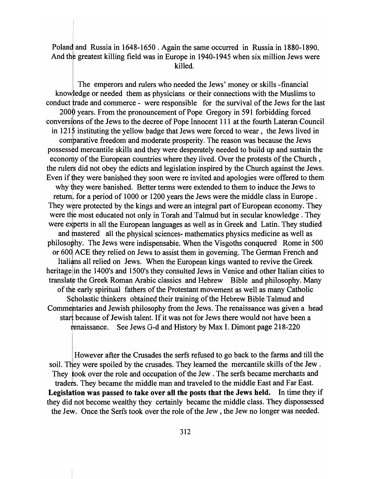Poland and Russia in 1648-1650. Again the same occurred in Russia in 1880-1890. And the greatest killing field was in Europe in 1940-1945 when six million Jews were killed.

The emperors and rulers who needed the Jews' money or skills -financial knowledge or needed them as physicians or their connections with the Muslims to conduct trade and commerce - were responsible for the survival of the Jews for the last 2000 years. From the pronouncement of Pope Gregory in 591 forbidding forced conversions of the Jews to the decree of Pope Innocent 111 at the fourth Lateran Council in  $1215$  instituting the yellow badge that Jews were forced to wear, the Jews lived in comparative freedom and moderate prosperity. The reason was because the Jews possessed mercantile skills and they were desperately needed to build up and sustain the economy of the European countries where they lived. Over the protests of the Church, the rulers did not obey the edicts and legislation inspired by the Church against the Jews. Even if they were banished they soon were re invited and apologies were offered to them why they were banished. Better terms were extended to them to induce the Jews to return, for a period of 1000 or 1200 years the Jews were the middle class in Europe. They were protected by the kings and were an integral part of European economy. They were the most educated not only in Torah and Talmud but in secular knowledge. They were experts in all the European languages as well as in Greek and Latin. They studied and mastered all the physical sciences- mathematics physics medicine as well as philosophy. The Jews were indispensable. When the Visgoths conquered Rome in 500 or 600 ACE they relied on Jews to assist them in governing. The German French and Italians all relied on Jews. When the European kings wanted to revive the Greek heritage in the 1400's and 1500's they consulted Jews in Venice and other Italian cities to translate the Greek Roman Arabic classics and Hebrew Bible and philosophy. Many of the early spiritual fathers of the Protestant movement as well as many Catholic Scholastic thinkers obtained their training of the Hebrew Bible Talmud and Commentaries and Jewish philosophy from the Jews. The renaissance was given a head start because of Jewish talent. If it was not for Jews there would not have been a enalssance. See Jews G-d and History by Max I. Dimont page 218-220

However after the Crusades the serfs refused to go back to the farms and till the soil. They were spoiled by the crusades. They learned the mercantile skills of the Jew. They took over the role and occupation of the Jew. The serfs became merchants and traders. They became the middle man and traveled to the middle East and Far East. Legislation was passed to take over all the posts that the Jews held. In time they if they did not become wealthy they certainly became the middle class. They dispossessed the Jew. Once the Serfs took over the role of the Jew, the Jew no longer was needed.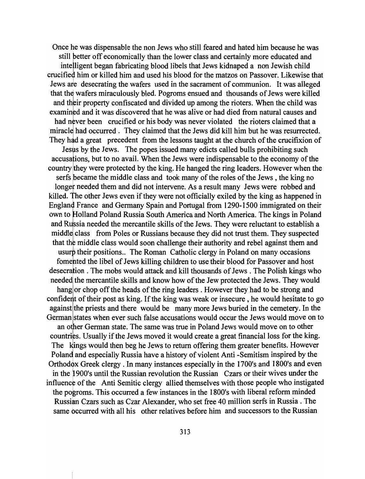Once he was dispensable the non Jews who still feared and hated him because he was still better off economically than the lower class and certainly more educated and intelligent began fabricating blood libels that Jews kidnaped a non Jewish child I crucified him or killed him and used his blood for the matzos on Passover. Likewise that Jews ate desecrating the wafers used in the sacrament of communion. It was alleged that the wafers miraculously bled. Pogroms ensued and thousands of Jews were killed and their property confiscated and divided up among the rioters. When the child was examined and it was discovered that he was alive or had died from natural causes and had never been crucified or his body was never violated the rioters claimed that a miracle had occurred. They claimed that the Jews did kill him but he was resurrected. They had a great precedent from the lessons taught at the church of the crucifixion of

Jesus by the Jews. The popes issued many edicts called bulls prohibiting such accusations, but to no avail. When the Jews were indispensable to the economy of the country they were protected by the king. He hanged the ring leaders. However when the

serfs became the middle class and took many of the roles of the Jews, the king no longet needed them and did not intervene. As a result many Jews were robbed and killed. 'fhe other Jews even if they were not officially exiled by the king as happened in England France and Germany Spain and Portugal from 1290-1500 immigrated on their own to Holland Poland Russia South America and North America. The kings in Poland and Russia needed the mercantile skills of the Jews. They were reluctant to establish a middle class from Poles or Russians because they did not trust them. They suspected that the middle class would soon challenge their authority and rebel against them and usurp their positions.. The Roman Catholic clergy in Poland on many occasions fomented the libel of Jews killing children to use their blood for Passover and host desecration. The mobs would attack and kill thousands of Jews. The Polish kings who needed the mercantile skills and know how of the Jew protected the Jews. They would hang or chop off the heads of the ring leaders. However they had to be strong and confident of their post as king. If the king was weak or insecure, he would hesitate to go against the priests and there would be many more Jews buried in the cemetery. In the German states when ever such false accusations would occur the Jews would move on to

an other German state. The same was true in Poland Jews would move on to other countribs. Usually if the Jews moved it would create a great financial loss for the king. The kings would then beg he Jews to return offering them greater benefits. However Poland and especially Russia have a history of violent Anti -Semitism inspired by the Orthodox Greek clergy . In many instances especially in the 1700's and 1800's and even in the 1900's until the Russian revolution the Russian Czars or their wives under the influence of the Anti Semitic clergy allied themselves with those people who instigated the pogroms. This occurred a few instances in the 1800's with liberal reform minded Russian Czars such as Czar Alexander, who set free 40 million serfs in Russia. The same occurred with all his other relatives before him and successors to the Russian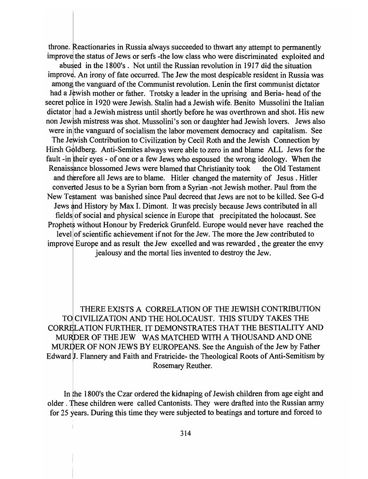throne. Reactionaries in Russia always succeeded to thwart any attempt to permanently improve the status of Jews or serfs -the low class who were discriminated exploited and abu ed in the 1800's. Not until the Russian revolution in 1917 did the situation improve. An irony of fate occurred. The Jew the most despicable resident in Russia was among the vanguard of the Communist revolution. Lenin the first communist dictator had a Jewish mother or father. Trotsky a leader in the uprising and Beria- head of the secret police in 1920 were Jewish. Stalin had a Jewish wife. Benito Mussolini the Italian dictator had a Jewish mistress until shortly before he was overthrown and shot. His new non Jewish mistress was shot. Mussolini's son or daughter had Jewish lovers. Jews also were in the vanguard of socialism the labor movement democracy and capitalism. See The Jewish Contribution to Civilization by Cecil Roth and the Jewish Connection by Hirsh Goldberg. Anti-Semites always were able to zero in and blame ALL Jews for the fault -in their eyes - of one or a few Jews who espoused the wrong ideology. When the Renaissance blossomed Jews were blamed that Christianity took the Old Testament and therefore all Jews are to blame. Hitler changed the maternity of Jesus. Hitler converted Jesus to be a Syrian born from a Syrian -not Jewish mother. Paul from the New Testament was banished since Paul decreed that Jews are not to be killed. See G-d Jews and History by Max I. Dimont. It was precisly because Jews contributed in all fieldsl of social and physical science in Europe that precipitated the holocaust. See Prophets without Honour by Frederick Grunfeld. Europe would never have reached the level of scientific achievement if not for the Jew. The more the Jew contributed to improve Europe and as result the Jew excelled and was rewarded, the greater the envy jealousy and the mortal lies invented to destroy the Jew.

THERE EXISTS A CORRELATION OF THE JEWISH CONTRIBUTION TO CIVILIZATION AND THE HOLOCAUST. THIS STUDY TAKES THE CORRELATION FURTHER. IT DEMONSTRATES THAT THE BESTIALITY AND DER OF THE JEW WAS MATCHED WITH A THOUSAND AND ONE MURDER OF NON JEWS BY EUROPEANS. See the Anguish of the Jew by Father Edward J. Flannery and Faith and Fratricide- the Theological Roots of Anti-Semitism by Rosemary Reuther.

In the 1800's the Czar ordered the kidnaping of Jewish children from age eight and older. These children were called Cantonists. They were drafted into the Russian army for 25 years. During this time they were subjected to beatings and torture and forced to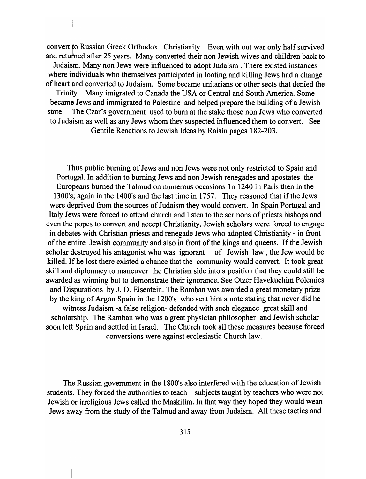convert to Russian Greek Orthodox Christianity. . Even with out war only half survived and returned after 25 years. Many converted their non Jewish wives and children back to Judaism. Many non Jews were influenced to adopt Judaism. There existed instances where individuals who themselves participated in looting and killing Jews had a change of heart and converted to Judaism. Some became unitarians or other sects that denied the Trinity. Many imigrated to Canada the USA or Central and South America. Some

became Jews and immigrated to Palestine and helped prepare the building of a Jewish state. fThe Czar's government used to bum at the stake those non Jews who converted to Judaism as well as any Jews whom they suspected influenced them to convert. See

Gentile Reactions to Jewish Ideas by Raisin pages 182-203.

Thus public burning of Jews and non Jews were not only restricted to Spain and Portugal. In addition to burning Jews and non Jewish renegades and apostates the Europeans burned the Talmud on numerous occasions In 1240 in Paris then in the 1300'S; again in the 1400's and the last time in 1757. They reasoned that if the Jews were deprived from the sources of Judaism they would convert. In Spain Portugal and Italy Jews were forced to attend church and listen to the sermons of priests bishops and even the popes to convert and accept Christianity. Jewish scholars were forced to engage in debates with Christian priests and renegade Jews who adopted Christianity - in front of the entire Jewish community and also in front of the kings and queens. If the Jewish scholar destroyed his antagonist who was ignorant of Jewish law, the Jew would be killed. If he lost there existed a chance that the community would convert. It took great skill and diplomacy to maneuver the Christian side into a position that they could still be awarded as winning but to demonstrate their ignorance. See Otzer Havekuchim Polemics and Disputations by J. D. Eisentein. The Ramban was awarded a great monetary prize by the king of Argon Spain in the 1200's who sent him a note stating that never did he

witness Judaism -a false religion- defended with such elegance great skill and scholarship. The Ramban who was a great physician philosopher and Jewish scholar soon left Spain and settled in Israel. The Church took all these measures because forced

conversions were against ecclesiastic Church law.

The Russian government in the 1800's also interfered with the education of Jewish students. They forced the authorities to teach subjects taught by teachers who were not Jewish or irreligious Jews called the Maskilim. In that way they hoped they would wean Jews away from the study of the Talmud and away from Judaism. All these tactics and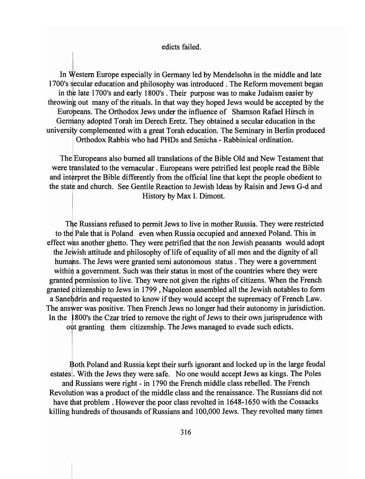#### edicts failed.

In Western Europe especially in Germany led by Mendelsohn in the middle and late 1700's secular education and philosophy was introduced. The Reform movement began in the late 1700's and early 1800's . Their purpose was to make Judaism easier by throwing out many of the rituals. In that way they hoped Jews would be accepted by the Europeans. The Orthodox Jews under the influence of Shamson Rafael Hirsch in Germany adopted Torah im Derech Eretz. They obtained a secular education in the university complemented with a great Torah education. The Seminary in Berlin produced Orthodox Rabbis who had PHDs and Smicha - Rabbinical ordination.

The Europeans also burned all translations of the Bible Old and New Testament that were translated to the vernacular. Europeans were petrified lest people read the Bible and interpret the Bible differently from the official line that kept the people obedient to the state and church. See Gentile Reaction to Jewish Ideas by Raisin and Jews G-d and History by Max I. Dimont.

The Russians refused to permit Jews to live in mother Russia. They were restricted to the Pale that is Poland even when Russia occupied and annexed Poland. This in effect was another ghetto. They were petrified that the non Jewish peasants would adopt the Jewish attitude and philosophy of life of equality of all men and the dignity of all humans. The Jews were granted semi autonomous status. They were a government within a government. Such was their status in most of the countries where they were granted permission to live. They were not given the rights of citizens. When the French granted fitizenship to Jews in 1799 , Napoleon assembled all the Jewish notables to form a Sanehdrin and requested to know if they would accept the supremacy of French Law. The answer was positive. Then French Jews no longer had their autonomy in jurisdiction. In the 1800's the Czar tried to remove the right of Jews to their own jurisprudence with out granting them citizenship. The Jews managed to evade such edicts.

Bc<br>,|<br>d I Both Poland and Russia kept their surfs ignorant and locked up in the large feudal estates. With the Jews they were safe. No one would accept Jews as kings. The Poles and Russians were right - in 1790 the French middle class rebelled. The French Revolution was a product of the middle class and the renaissance. The Russians did not have that problem. However the poor class revolted in 1648-1650 with the Cossacks killing hundreds of thousands of Russians and 100,000 Jews. They revolted many times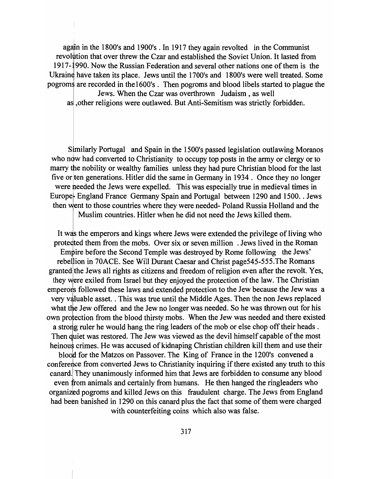again in the 1800's and 1900's. In 1917 they again revolted in the Communist revolution that over threw the Czar and established the Soviet Union. It lasted from 1917-1990. Now the Russian Federation and several other nations one of them is the Ukraine have taken its place. Jews until the 1700's and 1800's were well treated. Some pogroms are recorded in the 1600's. Then pogroms and blood libels started to plague the Jews. When the Czar was overthrown Judaism, as well as, other religions were outlawed. But Anti-Semitism was strictly forbidden.

Similarly Portugal and Spain in the 1500's passed legislation outlawing Moranos who now had converted to Christianity to occupy top posts in the army or clergy or to marry the nobility or wealthy families unless they had pure Christian blood for the last five or ten generations. Hitler did the same in Germany in 1934. Once they no longer were needed the Jews were expelled. This was especially true in medieval times in Europe- England France Germany Spain and Portugal between 1290 and 1500. Jews then went to those countries where they were needed- Poland Russia Holland and the

Muslim countries. Hitler when he did not need the Jews killed them.

It was the emperors and kings where Jews were extended the privilege of living who protected them from the mobs. Over six or seven million. Jews lived in the Roman Empire before the Second Temple was destroyed by Rome following the Jews' rebellion in 70ACE. See Will Durant Caesar and Christ page545-555.The Romans granted the Jews all rights as citizens and freedom of religion even after the revolt. Yes, they were exiled from Israel but they enjoyed the protection of the law. The Christian emperons followed these laws and extended protection to the Jew because the Jew was a very valuable asset. . This was true until the Middle Ages. Then the non Jews replaced what the Jew offered and the Jew no longer was needed. So he was thrown out for his own protection from the blood thirsty mobs. When the Jew was needed and there existed a strong ruler he would hang the ring leaders of the mob or else chop off their heads. Then quiet was restored. The Jew was viewed as the devil himself capable of the most heinous crimes. He was accused of kidnaping Christian children kill them and use their blood for the Matzos on Passover. The King of France in the 1200's convened a conference from converted Jews to Christianity inquiring if there existed any truth to this canard. They unanimously informed him that Jews are forbidden to consume any blood even from animals and certainly from humans. He then hanged the ringleaders who organized pogroms and killed Jews on this fraudulent charge. The Jews from England had been banished in 1290 on this canard plus the fact that some of them were charged with counterfeiting coins which also was false.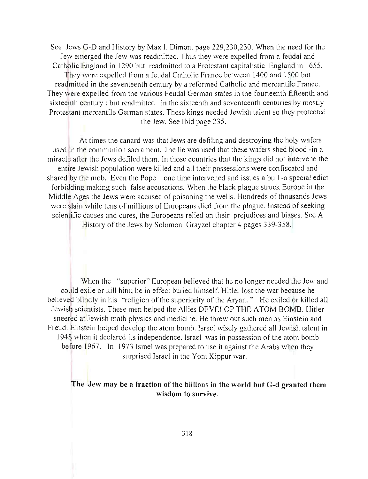See Jews G-D and History by Max I. Dimont page 229,230,230. When the need for the Jew emerged the Jew was readmitted. Thus they were expelled from a feudal and Catholic England in 1290 but readmitted to a Protestant capitalistic England in 1655. They were expelled from a feudal Catholic France between 1400 and 1500 but readmitted in the seventeenth century by a reformed Catholic and mercantile France. They were expelled from the various Feudal German states in the fourteenth fifteenth and sixteenth century; but readmitted in the sixteenth and seventeenth centuries by mostly Protestant mercantile German states. These kings needed Jewish talent so they protected the Jew. See Ibid page 235.

At times the canard was that Jews are defiling and destroying the holy wafers used in the communion sacrament. The lie was used that these wafers shed blood -in a miracle after the Jews defiled them. In those countries that the kings did not intervene the entire Jewish population were killed and all their possessions were confiscated and shared by the mob. Even the Pope one time intervened and issues a bull -a special edict forbidding making such false accusations. When the black plague struck Europe in the Middle Ages the Jews were accused of poisoning the wells. Hundreds of thousands Jews were slain while tens of millions of Europeans died from the plague. Instead of seeking scientific causes and cures, the Europeans relied on their prejudices and biases. See A

History of the Jews by Solomon Grayzel chapter 4 pages 339-358.

When the "superior" European believed that he no longer needed the Jew and could exile or kill him; he in effect buried himself. Hitler lost the war because he believed blindly in his "religion of the superiority of the Aryan." He exiled or killed all Jewish scientists. These men helped the Allies DEVELOP THE ATOM BOMB. Hitler sneered at Jewish math physics and medicine. He threw out such men as Einstein and Freud. Einstein helped develop the atom bomb. Israel wisely gathered all Jewish talent in 1948 when it declared its independence. Israel was in possession of the atom bomb before 1967. In 1973 Israel was prepared to use it against the Arabs when they surprised Israel in the Yom Kippur war.

### The Jew may be a fraction of the billions in the world but G-d granted them wisdom to survive.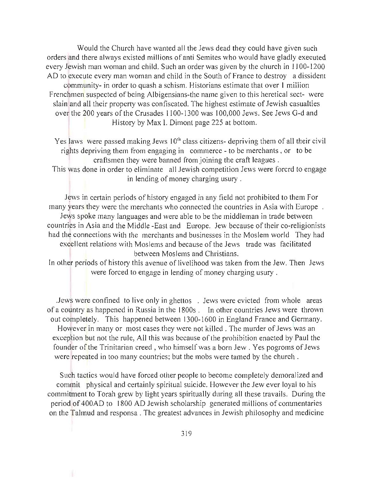Would the Church have wanted all the Jews dead they could have given such orders and there always existed millions of anti Semites who would have gladly executed every Jewish man woman and child. Such an order was given by the church in 1100-1200 AD to execute every man woman and child in the South of France to destroy a dissident community- in order to quash a schism. Historians estimate that over 1 million Frenchmen suspected of being Albigensians-the name given to this heretical sect- were slain and all their property was confiscated. The highest estimate of Jewish casualties over the 200 years of the Crusades 1100-1300 was 100,000 Jews. See Jews G-d and History by Max I. Dimont page 225 at bottom.

Yes laws were passed making Jews 10<sup>th</sup> class citizens- depriving them of all their civil rights depriving them from engaging in commerce - to be merchants, or to be craftsmen they were banned from joining the craft leagues.

This was done in order to eliminate all Jewish competition Jews were forcrd to engage in lending of money charging usury.

Jews in certain periods of history engaged in any field not prohibited to them For many years they were the merchants who connected the countries in Asia with Europe. Jews spoke many languages and were able to be the middleman in trade between countries in Asia and the Middle -East and Europe. Jew because of their co-religionists had the connections with the merchants and businesses in the Moslem world They had excellent relations with Moslems and because of the Jews trade was facilitated between Moslems and Christians.

In other periods of history this avenue of livelihood was taken from the Jew. Then Jews were forced to engage in lending of money charging usury .

Jews were confined to live only in ghettos . Jews were evicted from whole areas of a country as happened in Russia in the 1800s . In other countries Jews were thrown out completely. This happened between 1300-1600 in England France and Germany. However in many or most cases they were not killed . The murder of Jews was an exception but not the rule, All this was because of the prohibition enacted by Paul the founder of the Trinitarian creed , who himself was a born Jew. Yes pogroms of Jews were repeated in too many countries; but the mobs were tamed by the church .

Such tactics would have forced other people to become completely demoralized and commit physical and certainly spiritual suicide. However the Jew ever loyal to his commitment to Torah grew by light years spiritually during all these travails. During the period of 400AD to 1800 AD Jewish scholarship generated millions of commentaries on the Talmud and responsa . The greatest advances in Jewish philosophy and medicine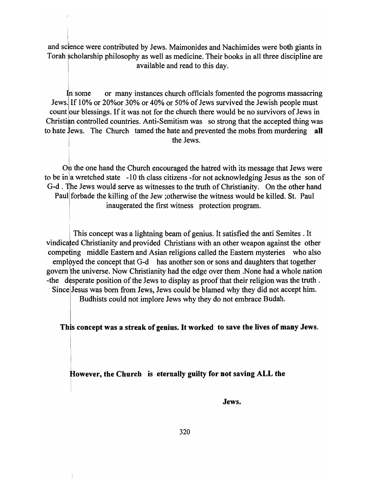I and science were contributed by Jews. Maimonides and Nachimides were both giants in Torah scholarship philosophy as well as medicine. Their books in all three discipline are available and read to this day.

In some or many instances church officials fomented the pogroms massacring Jews. If 10% or 20%or 30% or 40% or 50% of Jews survived the Jewish people must count our blessings. If it was not for the church there would be no survivors of Jews in Christian controlled countries. Anti-Semitism was so strong that the accepted thing was to hate Jews. The Church tamed the hate and prevented the mobs from murdering all the Jews.

On the one hand the Church encouraged the hatred with its message that Jews were to be in $\alpha$  wretched state -10 th class citizens -for not acknowledging Jesus as the son of G-d. The Jews would serve as witnesses to the truth of Christianity. On the other hand Paul forbade the killing of the Jew ; otherwise the witness would be killed. St. Paul inaugerated the first witness protection program.

This concept was a lightning beam of genius. It satisfied the anti Semites . It vindicated Christianity and provided Christians with an other weapon against the other competing middle Eastern and Asian religions called the Eastern mysteries who also employed the concept that G-d has another son or sons and daughters that together govern the universe. Now Christianity had the edge over them . None had a whole nation -the desperate position of the Jews to display as proof that their religion was the truth. Since Jesus was born from Jews, Jews could be blamed why they did not accept him. Budhists could not implore Jews why they do not embrace Budah.

This concept was a streak of genius. It worked to save the lives of many Jews.

However, the Church is eternally guilty for not saving ALL the

I

I

Jews.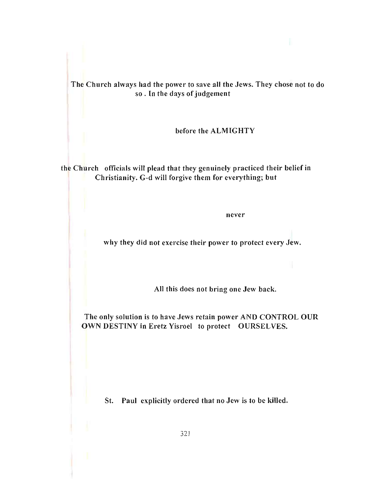The Church always had the power to save all the Jews. They chose not to do so . In the days of judgement

before the ALMIGHTY

the Church officials will plead that they genuinely practiced their belief in Christianity. G-d will forgive them for everything; but

never

why they did not exercise their power to protect every Jew.

All this does not bring one Jew back.

The only solution is to have Jews retain power AND CONTROL OUR OWN DESTINY in Eretz Yisroel to protect OURSELVES.

St. Paul explicitly ordered that no Jew is to be killed.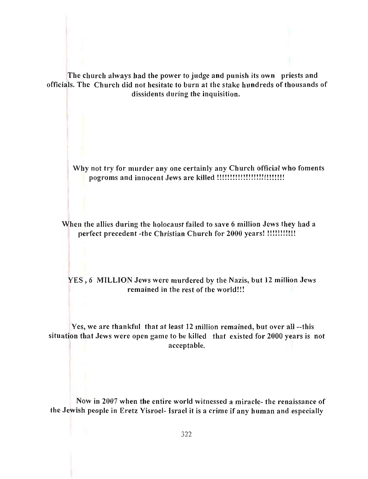The church always had the power to judge and punish its own priests and officials. The Church did not hesitate to burn at the stake hundreds of thousands of dissidents during the inquisition.

Why not try for murder anyone certainly any Church official who foments pogroms and innocent Jews are killed !!!!!!!!!!!!!!!!!!!!!!!!!!

When the allies during the holocaust failed to save 6 million Jews they had a perfect precedent -the Christian Church for 2000 years! !!!!!!!!!!!!

YES , 6 MILLION Jews were murdered by the Nazis, but 12 million Jews remained in the rest of the world!!!

Yes, we are thankful that at least 12 million remained, but over all --this situation that Jews were open game to be killed that existed for 2000 years is not acceptable.

Now in 2007 when the entire world witnessed a miracle- the renaissance of the Jewish people in Eretz Yisroel- Israel it is a crime if any human and especially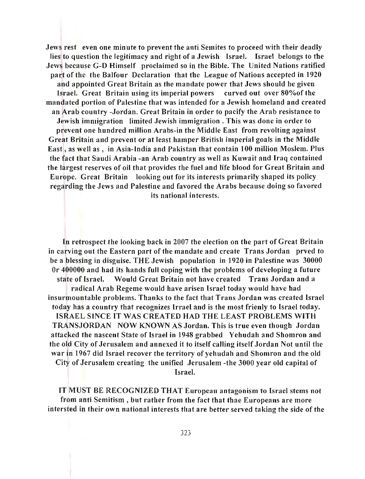Jews rest even one minute to prevent the anti Semites to proceed with their deadly lies to question the legitimacy and right of a Jewish Israel. Israel belongs to the Jews because G-D Himself proclaimed so in the Bible. The United Nations ratified part of the the Balfour Declaration that the League of Nations accepted in 1920 and appointed Great Britain as the mandate power that Jews should be given Israel. Great Britain using its imperial powers curved out over 80%of the mandated portion of Palestine that was intended for a Jewish homeland and created an Arab country -Jordan. Great Britain in order to pacify the Arab resistance to Jewish immigration limited Jewish immigration. This was done in order to prevent one hundred million Arabs-in the Middle East from revolting against Great Britain and prevent or at least hamper British imperial goals in the Middle East, as well as, in Asia-India and Pakistan that contain 100 million Moslem. Plus the fact that Saudi Arabia -an Arab country as well as Kuwait and Iraq contained the largest reserves of oil that provides the fuel and life blood for Great Britain and Europe. Great Britain looking out for its interests primarily shaped its policy regarding the Jews and Palestine and favored the Arabs because doing so favored its national interests.

In retrospect the looking back in 2007 the election on the part of Great Britain in carving out the Eastern part of the mandate and create Trans Jordan prved to be a blessing in disguise. THE Jewish population in 1920 in Palestine was 30000 Or 400000 and had its hands full coping with the problems of developing a future state of Israel. Would Great Britain not have created Trans Jordan and a radical Arab Regeme would have arisen Israel today would have had insurmountable problems. Thanks to the fact that Trans Jordan was created Israel today has a country that recognizes Irrael and is the most frienly to Israel today. ISRAEL SINCE IT WAS CREATED HAD THE LEAST PROBLEMS WITH TRANSJORDAN NOW KNOWN AS Jordan. This is true even though Jordan attacked the nascent State of Israel in 1948 grabbed Yehudah and Shomron and the old City of Jerusalem and annexed it to itself calling itself Jordan Not until the war in 1967 did Israel recover the territory of yehudah and Shomron and the old City of Jerusalem creating the unified Jerusalem -the 3000 year old capital of Israel.

IT MUST BE RECOGNIZED THAT European antagonism to Israel stems not from anti Semitism, but rather from the fact that thae Europeans are more intersted in their own national interests that are better served taking the side of the